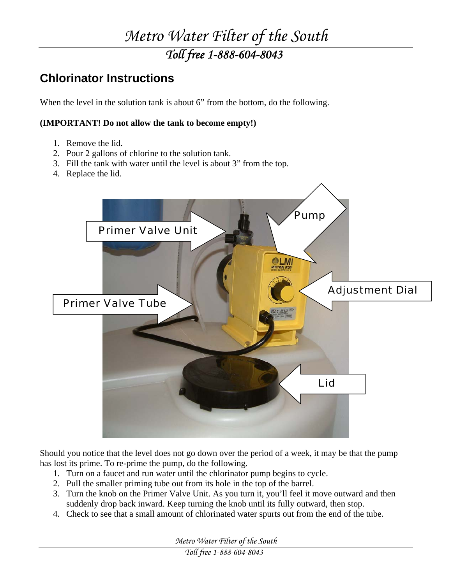## *Metro Water Filter of the South Toll free 1-888-604-8043*

### **Chlorinator Instructions**

When the level in the solution tank is about 6" from the bottom, do the following.

#### **(IMPORTANT! Do not allow the tank to become empty!)**

- 1. Remove the lid.
- 2. Pour 2 gallons of chlorine to the solution tank.
- 3. Fill the tank with water until the level is about 3" from the top.
- 4. Replace the lid.



Should you notice that the level does not go down over the period of a week, it may be that the pump has lost its prime. To re-prime the pump, do the following.

- 1. Turn on a faucet and run water until the chlorinator pump begins to cycle.
- 2. Pull the smaller priming tube out from its hole in the top of the barrel.
- 3. Turn the knob on the Primer Valve Unit. As you turn it, you'll feel it move outward and then suddenly drop back inward. Keep turning the knob until its fully outward, then stop.
- 4. Check to see that a small amount of chlorinated water spurts out from the end of the tube.

*Metro Water Filter of the South* 

*Toll free 1-888-604-8043*